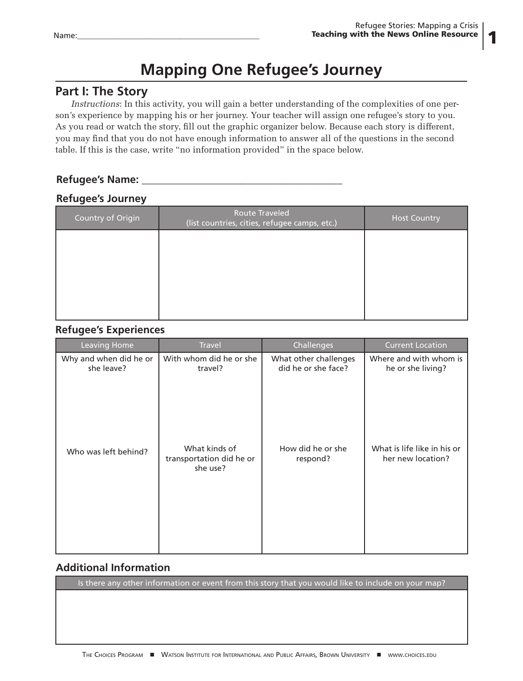1

# **Mapping One Refugee's Journey**

## **Part I: The Story**

*Instructions*: In this activity, you will gain a better understanding of the complexities of one person's experience by mapping his or her journey. Your teacher will assign one refugee's story to you. As you read or watch the story, fill out the graphic organizer below. Because each story is different, you may find that you do not have enough information to answer all of the questions in the second table. If this is the case, write "no information provided" in the space below.

### **Refugee's Name: \_\_\_\_\_\_\_\_\_\_\_\_\_\_\_\_\_\_\_\_\_\_\_\_\_\_\_\_\_\_\_\_\_\_\_\_\_\_**

#### **Refugee's Journey**

| Country of Origin | <b>Route Traveled</b><br>(list countries, cities, refugee camps, etc.) | <b>Host Country</b> |
|-------------------|------------------------------------------------------------------------|---------------------|
|                   |                                                                        |                     |
|                   |                                                                        |                     |
|                   |                                                                        |                     |
|                   |                                                                        |                     |

#### **Refugee's Experiences**

| <b>Leaving Home</b>                  | <b>Travel</b>                                         | Challenges                                   | Current Location                                 |
|--------------------------------------|-------------------------------------------------------|----------------------------------------------|--------------------------------------------------|
| Why and when did he or<br>she leave? | With whom did he or she<br>travel?                    | What other challenges<br>did he or she face? | Where and with whom is<br>he or she living?      |
| Who was left behind?                 | What kinds of<br>transportation did he or<br>she use? | How did he or she<br>respond?                | What is life like in his or<br>her new location? |

### **Additional Information**

Is there any other information or event from this story that you would like to include on your map?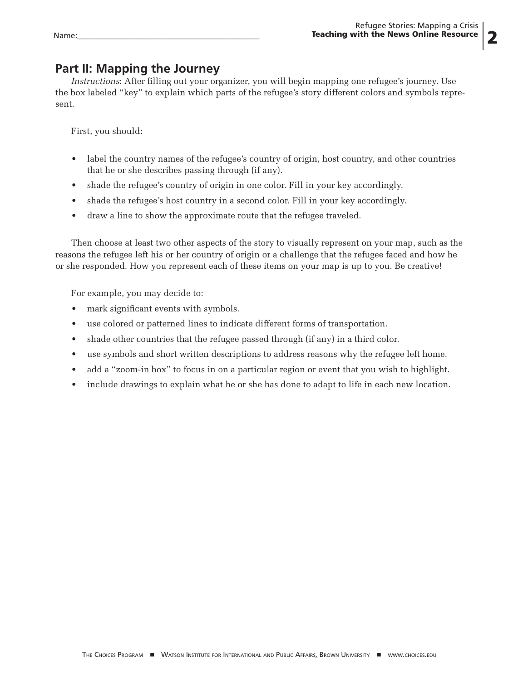## **Part II: Mapping the Journey**

*Instructions*: After filling out your organizer, you will begin mapping one refugee's journey. Use the box labeled "key" to explain which parts of the refugee's story different colors and symbols represent.

First, you should:

- label the country names of the refugee's country of origin, host country, and other countries that he or she describes passing through (if any).
- shade the refugee's country of origin in one color. Fill in your key accordingly.
- shade the refugee's host country in a second color. Fill in your key accordingly.
- draw a line to show the approximate route that the refugee traveled.

Then choose at least two other aspects of the story to visually represent on your map, such as the reasons the refugee left his or her country of origin or a challenge that the refugee faced and how he or she responded. How you represent each of these items on your map is up to you. Be creative!

For example, you may decide to:

- mark significant events with symbols.
- use colored or patterned lines to indicate different forms of transportation.
- shade other countries that the refugee passed through (if any) in a third color.
- use symbols and short written descriptions to address reasons why the refugee left home.
- add a "zoom-in box" to focus in on a particular region or event that you wish to highlight.
- include drawings to explain what he or she has done to adapt to life in each new location.